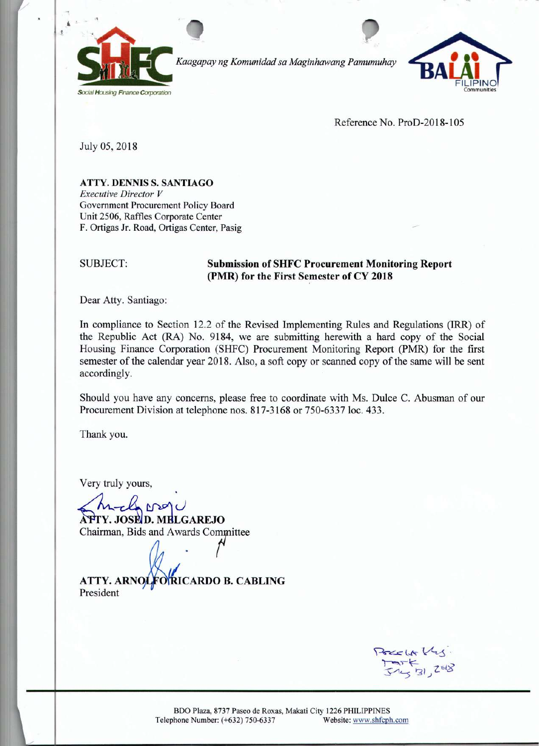

*Kaagapay ng Komunidad sa Maginhawang Pamumuhay*



Reference No. ProD-2018-10S

July 05, 2018

*v*

**ATTY. DENNIS S. SANTIAGO** *Executive Director V* Government Procurement Policy Board Unit 2506, Raffles Corporate Center F. Ortigas Jr. Road, Ortigas Center, Pasig

## SUBJECT: **Submission of SHFC Procurement Monitoring Report (PMR) for the First Semester of CY 2018**

Dear Atty. Santiago:

**In** compliance to Section 12.2 of the Revised Implementing Rules and Regulations (lRR) of the Republic Act (RA) No. 9184, we are submitting herewith a hard copy of the Social Housing Finance Corporation (SHFC) Procurement Monitoring Report (PMR) for the first semester of the calendar year 2018. Also, a soft copy or scanned copy of the same will be sent accordingly.

Should you have any concerns, please free to coordinate with Ms. Dulce C. Abusman of our Procurement Division at telephone nos. 817-3168 or 750-6337 loc. 433.

Thank you.

Very truly yours,

 $M<sub>o</sub>$ ATTY. JOSE D. MELGAREJO Chairman, Bids and Awards Committee

ATTY. ARNOLFORICARDO B. CABLING President

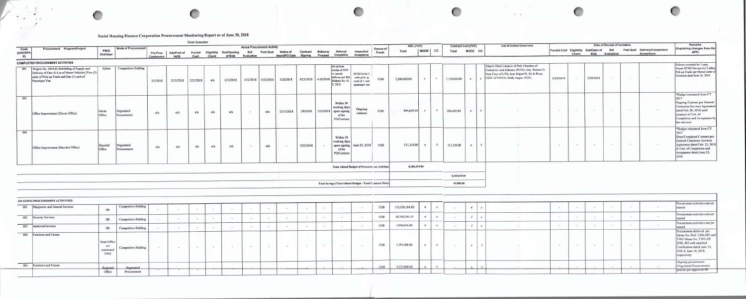*v*

.J ,oj  $\sim$   $\sim$ 

"

c

## Social Housing Finance Corporation Procurement Monitoring Report as of June 30,2018

First Semester

Œ

|                       |                                                                                                                                                                   |                                        |                            |            | First Semester<br>ABC (PhP)<br><b>Contract Cost (PhP)</b><br><b>Actual Procurement Activity</b> |             |               |                                                                   |                          |                     |                                    |                     |                    |                                                                                            |                                                                    |                    |                |                           | <b>List of Invited Observers</b> |              | <b>Remarks</b> |            |                                                                                                                                                                                |                          |                                          |                        |                 |                                              |                                      |                                                                                                                                                                                                                |
|-----------------------|-------------------------------------------------------------------------------------------------------------------------------------------------------------------|----------------------------------------|----------------------------|------------|-------------------------------------------------------------------------------------------------|-------------|---------------|-------------------------------------------------------------------|--------------------------|---------------------|------------------------------------|---------------------|--------------------|--------------------------------------------------------------------------------------------|--------------------------------------------------------------------|--------------------|----------------|---------------------------|----------------------------------|--------------|----------------|------------|--------------------------------------------------------------------------------------------------------------------------------------------------------------------------------|--------------------------|------------------------------------------|------------------------|-----------------|----------------------------------------------|--------------------------------------|----------------------------------------------------------------------------------------------------------------------------------------------------------------------------------------------------------------|
| Code<br>(UACS/PA<br>P | Procurement Program/Project                                                                                                                                       | <b>PMO/</b><br>End-User                | <b>Mode of Procurement</b> | Conference | <b>IAEB</b>                                                                                     | Conf.       | Check         | Pre-Proc   Ads/Post of Pre-bid Eligibility Sub/Opening<br>of Bids | Bid<br>Evaluation        | <b>Post Qual</b>    | Notice of<br>Award/PO Date Signing | Contract Notice to  |                    | <b>Delivery/</b><br>Proceed Completion                                                     | <b>Inspection/</b><br>Acceptance                                   | Source of<br>Funds | Total          | MOOE                      | CO                               | Total        | MOOE CO        |            |                                                                                                                                                                                | Check                    | Pre-bid Conf Eligibility Sub/Open of Bid | <b>Bids</b> Evaluation |                 | Post Qual Delivery/Completion/<br>Acceptance | (Explaining changes from the<br>APP) |                                                                                                                                                                                                                |
|                       | <b>COMPLETED PROCUREMENT ACTIVITIES</b>                                                                                                                           |                                        |                            |            |                                                                                                 |             |               |                                                                   |                          |                     |                                    |                     |                    |                                                                                            |                                                                    |                    |                |                           |                                  |              |                |            |                                                                                                                                                                                |                          |                                          |                        |                 |                                              |                                      |                                                                                                                                                                                                                |
| 001                   | Project No. 2018-01:Rebidding of Supply and<br>Delivery of One (1) Lot of Motor Vehicles [Five (5)<br>units of Pick-up Truck and One (1) unit of<br>Passenger Van | Admin                                  | Competitive Bidding        | 2/1/2018   | 2/13/2018 2/21/2018                                                                             |             | n/a           | 3/12/2018                                                         |                          | 3/12/2018 3/22/2018 | 3/26/2018                          | 4/23/2018 4/18/2018 |                    | 60 cd from<br>receipt of NTP<br>w/partial<br>delivery per Bio<br>Bulletin No. 0<br>S. 2018 | 05/25/18 for 2<br>units pick up<br>truck & 1 unit<br>passenger van | COB                | 7,200,000.00   | $\boldsymbol{\mathsf{x}}$ | $\sqrt{ }$                       | 7,154,020.00 | $\mathbf{x}$   |            | Alegria Sibal Limjoco of Phil. Chamber of<br>Commerce and Industry (PCCI); Atty. Romeo G.<br>Vera Cruz of LTO; Jose Miguel R. De la Rosa,<br>V USEC of NEDA; Zaldy Angus, NGO; | 2/20/2018                | $\sim$                                   | 2/20/2018              | $\sim$          | <b>CALL</b>                                  | $\sim$                               | Delivery extended for 3 units<br>Vissan NP300 Navarra 4x2 Calibre<br>Pick up Trucks per Memo Letter of<br>Extension dated June 26, 2018                                                                        |
| 002                   | Office Improvement (Davao Office)                                                                                                                                 | Davao<br>Office                        | Negotiated<br>Procurement  | n/a        | n/a                                                                                             | n/a         | n/a           | n/a                                                               | $\overline{a}$           | n/a                 | 12/13/2018                         |                     | 2/8/2018 2/22/2018 | Within 30<br>working days<br>upon signing<br>of the<br>PO/Contract                         | Ongoing<br>contract                                                | COB                | 894,669.84     | $\mathbf{x}$              | $\mathbf{v}$                     | 894,669.84   | $x -$          | $\sqrt{ }$ |                                                                                                                                                                                | 1940.                    | $\sim$                                   | $\sim$                 | $\frac{1}{2}$   | $\sim$                                       | $\sim$                               | *Budget reinstated from CY<br>2017<br>Ongoing Contract per General<br><b>Contractor Services Agreemen</b><br>dated Feb. 08, 2018 until<br>issuance of Cert. of<br>Completion and Acceptance by<br>the end-user |
| 003                   | Office Improvement (Bacolod Office)                                                                                                                               | Bacolod<br>Office                      | Negotiated<br>Procurement  | n/a        | n/a                                                                                             | n/a         | n/a           | n/a                                                               | <b>Contract Contract</b> | n/a                 | $\sim$                             | 2/22/2018           | $\sim$             | Within 30<br>working days<br>of the<br>PO/Contract                                         | upon signing   June 25, 2018                                       | COB                | 311,350.00     | $\boldsymbol{\mathsf{x}}$ | V                                | 311,350.00   | $\mathbf{x}$   |            |                                                                                                                                                                                |                          |                                          |                        | $\sim$          | $\sim$                                       |                                      | *Budget reinstated from CY<br>Done/Completed Contract per<br><b>General Contractor Services</b><br>Agreement dated Feb. 22, 2018<br>& Cert. of Completion and<br>Acceptance dated June 25,<br>2018             |
|                       |                                                                                                                                                                   |                                        |                            |            |                                                                                                 |             |               |                                                                   |                          |                     |                                    |                     |                    |                                                                                            | Total Alloted Budget of Procuren ent Activities                    |                    | 8,406,019.84   |                           |                                  |              |                |            |                                                                                                                                                                                |                          |                                          |                        |                 |                                              |                                      |                                                                                                                                                                                                                |
|                       |                                                                                                                                                                   |                                        |                            |            |                                                                                                 |             |               |                                                                   |                          |                     |                                    |                     |                    |                                                                                            |                                                                    |                    |                |                           |                                  | 8,360,039.84 |                |            |                                                                                                                                                                                |                          |                                          |                        |                 |                                              |                                      |                                                                                                                                                                                                                |
|                       |                                                                                                                                                                   |                                        |                            |            |                                                                                                 |             |               |                                                                   |                          |                     |                                    |                     |                    |                                                                                            | Total Savings (Total Alloted Budget - Total Contract Price)        |                    |                |                           |                                  | 45,980.00    |                |            |                                                                                                                                                                                |                          |                                          |                        |                 |                                              |                                      |                                                                                                                                                                                                                |
|                       |                                                                                                                                                                   |                                        |                            |            |                                                                                                 |             |               |                                                                   |                          |                     |                                    |                     |                    |                                                                                            |                                                                    |                    |                |                           |                                  |              |                |            |                                                                                                                                                                                |                          |                                          |                        |                 |                                              |                                      |                                                                                                                                                                                                                |
|                       |                                                                                                                                                                   |                                        |                            |            |                                                                                                 |             |               |                                                                   |                          |                     |                                    |                     |                    |                                                                                            |                                                                    |                    |                |                           |                                  |              |                |            |                                                                                                                                                                                |                          |                                          |                        |                 |                                              |                                      |                                                                                                                                                                                                                |
|                       | ON-GOING PROCUREMENT ACTIVITIES<br>001 Manpower and General Services                                                                                              |                                        | <b>Competitive Bidding</b> |            |                                                                                                 |             |               |                                                                   |                          | $\sim$              | $\sim$                             | $\sim$              | $\sim$             | $\cdot$                                                                                    |                                                                    | COB                | 115,530,184.00 | $\mathbf{v}$              | $\mathbf{x}$                     |              | $\mathbf{v}$   |            |                                                                                                                                                                                |                          |                                          |                        |                 | $\overline{a}$                               |                                      | Procurement activities not yet<br>started                                                                                                                                                                      |
|                       |                                                                                                                                                                   | HR                                     |                            | $\sim$     | 1,000                                                                                           | $\sim 0.01$ | $\sim$        | $\sim$                                                            |                          |                     |                                    |                     |                    |                                                                                            |                                                                    | COB                | 58,740,246.19  | $\sqrt{ }$                | $\mathbf{x}$                     |              | $\sqrt{ }$     |            |                                                                                                                                                                                |                          |                                          |                        | $\sim$          | <b>Sect</b>                                  | <b>Contract</b>                      | Procurement activities not yet                                                                                                                                                                                 |
|                       | 002 Security Services                                                                                                                                             | HR                                     | <b>Competitive Bidding</b> |            | $\sim$                                                                                          | $\sim$      | $\rightarrow$ |                                                                   |                          | $\sim$              | $\sim$                             | $\sim$              |                    | $\sim$                                                                                     |                                                                    |                    |                | $\mathbf{v}$              |                                  | $\sim$       |                |            |                                                                                                                                                                                |                          |                                          |                        |                 |                                              | <b>CONTRACTOR</b>                    | started<br>Procurement activities not yet                                                                                                                                                                      |
|                       | 003 Janitorial Services                                                                                                                                           | <b>HR</b>                              | <b>Competitive Bidding</b> | $\sim$     | $-$                                                                                             | $\sim$      | $\sim$        |                                                                   |                          | $\sim$              | <b>CONTRACTOR</b>                  | $\sim$              | $\sim$             | $\sim$                                                                                     |                                                                    | COB                | 1,946,016.00   |                           | $\times$                         |              | $\sqrt{ }$     |            | $\sim$                                                                                                                                                                         | $\sim$                   |                                          |                        |                 | $\sim$                                       |                                      | started<br>Procurement deferred per                                                                                                                                                                            |
| 004                   | Furniture and Fixture                                                                                                                                             | Head Office<br>c/o<br>concerned<br>TWG | <b>Competitive Bidding</b> | $\sim$     | $\sim$                                                                                          | $\sim$      |               | $\sim$                                                            | $\sim 100$               | <b>COLL</b>         | 1.44                               | $\sim$              | <b>Contract</b>    | in 1919.                                                                                   |                                                                    | COB                | 1,591,000.00   | $\mathbf{x}$              | $\sqrt{ }$                       | $\sim$       | $\mathbf{x}$   |            |                                                                                                                                                                                | <b>Contract Contract</b> | <b>Contract</b>                          | $\sim$                 | <b>Contract</b> | $\sim$                                       | $\sim 1000$                          | Memo No. BAC-1806-005 an<br>TWG Memo No. TWG-OF<br>2018 002 with attached<br>Certification dated June 22.<br>2018 & June 14, 2018.<br>respectively                                                             |
| 005                   | <b>Furniture</b> and Fixture                                                                                                                                      | Regional<br>Office                     | Negotiated<br>Procurement  |            |                                                                                                 |             |               |                                                                   |                          |                     |                                    |                     |                    |                                                                                            |                                                                    | COB                | 2,233,000.00   | $\mathbf{x}$              | $\sqrt{ }$                       |              |                |            |                                                                                                                                                                                |                          |                                          |                        |                 |                                              |                                      | Ongoing procurement<br>(Negotiated Procurement)<br>process per approved PR                                                                                                                                     |

 $\sim 100$ 

 $\sim$   $\sim$ 

DOM: N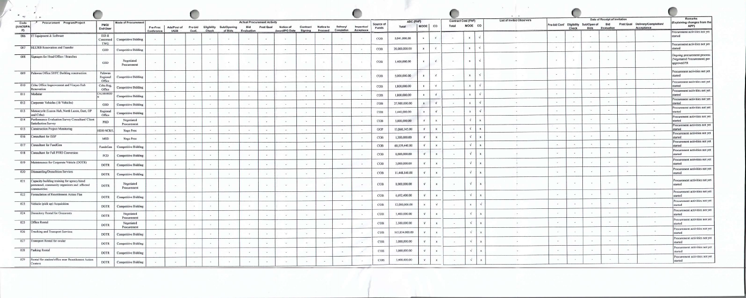| $\bullet$<br>$-1$      | $\mathbb{R}$ .                                                                                            |                               |                            |                        |                            |                          |               |                                           |                          |                                                        |                                    |                 |                                         |                          |                          |                   |                    |              |                           |                                     |                            | $\cdots$                         |                         |                   |                                                     |                                                           |                            |                                              |                                                                             |
|------------------------|-----------------------------------------------------------------------------------------------------------|-------------------------------|----------------------------|------------------------|----------------------------|--------------------------|---------------|-------------------------------------------|--------------------------|--------------------------------------------------------|------------------------------------|-----------------|-----------------------------------------|--------------------------|--------------------------|-------------------|--------------------|--------------|---------------------------|-------------------------------------|----------------------------|----------------------------------|-------------------------|-------------------|-----------------------------------------------------|-----------------------------------------------------------|----------------------------|----------------------------------------------|-----------------------------------------------------------------------------|
| Code<br>(UACS/PA<br>P) | Procurement Program/Project                                                                               | <b>PMOI</b><br>End-User       | <b>Mode of Procurement</b> | Pre-Proc<br>Conference | Ads/Post of<br><b>IAEB</b> | Pre-bid<br>Conf.         | Check         | <b>Eligibility Sub/Opening</b><br>of Bids | <b>Bid</b><br>Evaluation | <b>Actual Procurement Activity</b><br><b>Post Qual</b> | Notice of<br>Award/PO Date Signing |                 | Contract Notice to Delivery/<br>Proceed | Completion               | Inspection<br>Acceptance | Source o<br>Funds | ABC (PhP)<br>Total | MOOE CO      |                           | <b>Contract Cost (PhP)</b><br>Total | MOOE CO                    | <b>List of Invited Observers</b> |                         | Check             | Pre-bid Conf Eligibility Sub/Open of<br><b>Bids</b> | Date of Receipt of Invitation<br><b>Bid</b><br>Evaluation |                            | Post Qual Delivery/Completion/<br>Acceptance | Remarks<br>(Explaining changes from the<br>APP)                             |
| 006                    | IT Equipment & Software                                                                                   | ISD &<br>Concerned            | <b>Competitive Bidding</b> |                        | $\frac{1}{2}$              | $\sim$                   | $\sim$        |                                           | $\sim$                   | $\sim$                                                 |                                    | $\sim$          | $\sim$                                  |                          | $\sim$                   | COB               | 5,041,000.00       |              | $\sqrt{ }$                | 1000                                | $\mathbf{x}$               |                                  | $\ddot{\phantom{1}}$    | $\sim$            |                                                     |                                                           |                            | <b>ALC</b>                                   | Procurement activities not yet<br>started                                   |
| 007                    | <b>HLURB</b> Renovation and Transfer                                                                      | TWG<br><b>GSD</b>             | <b>Competitive Bidding</b> |                        |                            | $\sim$                   |               |                                           | $\sim$                   |                                                        |                                    | $\sim$          | (1, 0.01)                               |                          |                          | COB               | 20,000,000.00      | $\mathbf{x}$ | $\mathcal{N}$             |                                     | $\mathbf{x}$               | $\sim$                           | $\sim$                  |                   | $\sim$                                              |                                                           |                            | $\sim$                                       | Procurement activities not yet<br>started                                   |
|                        | 008 Signages for Head Office / Branches                                                                   | GSD                           | Negotiated<br>Procurement  |                        | Contractor                 | $\sim$                   | $-41$         |                                           | $(1 - 1)$                | $\sim$                                                 |                                    |                 |                                         |                          |                          | COB               | 1,400,000.00       |              | $\mathbf{v}$              |                                     | $\mathbf{x}$               |                                  | $\sim$                  |                   |                                                     | $\sim$                                                    | 1,400                      | $\overline{a}$                               | Ongoing procurement process<br>(Negotiated Procurement) per<br>approved PR  |
| 009                    | Palawan Office SHFC Building construction                                                                 | Palawan<br>Regional<br>Office | <b>Competitive Bidding</b> |                        | $\sim$                     | $\overline{\phantom{a}}$ | $\sim$        |                                           | 1987                     | $\sim$                                                 | $\sim$                             | $\sim$          | <b>CONTRACTOR</b>                       | $\sim$                   | $\sim$                   | COB               | 5,000,000.00       | $\mathbf{x}$ | $\mathbf{v}$              | $-$                                 | $\mathbf{x}$               |                                  | $\rightarrow$           |                   | $\sim$                                              | <b>COL</b>                                                |                            | $\sim$                                       | Procurement activities not yet<br>started                                   |
|                        | 010 Cebu Office Improvement and Visayas Hub<br>enovation                                                  | Cebu Reg.<br>Office           | <b>Competitive Bidding</b> |                        | $\sim$                     | $\sim$                   | $\sim$        |                                           | $\sim$                   | $\sim$                                                 |                                    |                 |                                         | 2991                     | $\sim$                   | COB               | 1,800,000.00       | $\times$     | $\sqrt{ }$                | $\sim$                              | $\mathbf{x}$               | 14                               | $\sim$                  |                   | 12,992                                              | $\sim$                                                    |                            | $\sim$                                       | Procurement activities not yet<br>started                                   |
| 011                    | Modular                                                                                                   | CALABARZO                     | <b>Competitive Bidding</b> |                        | <b>Contract</b>            | OH.                      |               |                                           |                          | $\sim$                                                 |                                    |                 |                                         |                          |                          | COB               | 1,800,000.00       | $\mathbf{x}$ | $\sqrt{ }$                | 1987                                |                            | $(1 - 1)$                        | $\sim$                  |                   | $\sim$                                              | <b>Contract</b>                                           |                            | $\sim$                                       | Procurement activities not yet<br>started<br>Procurement activities not yet |
|                        | 012 Corporate Vehicles (16 Vehicles)                                                                      | GSD                           | <b>Competitive Bidding</b> |                        | $\sim$                     | $\sim$                   | $\frac{1}{2}$ |                                           | $\sim$                   | $\sim$                                                 |                                    | $\sim$          |                                         | $-1$                     |                          | COB               | 27,900,000.00      | $\mathbf{x}$ | $\sqrt{ }$                |                                     | $\mathbf{x}$               | 1,000                            | $\sim$                  |                   |                                                     |                                                           |                            | $\sim$                                       | started<br>Procurement activities not yet                                   |
| 013                    | Motorcycle (Luzon Hub, North Luzon, Daet, OP<br>and Cebu)                                                 | Regional<br>Office            | Competitive Bidding        |                        | $\sim$                     | $\sim$                   |               |                                           | the con-                 | $\sim$                                                 |                                    |                 |                                         |                          |                          | COB               | 1,440,000.00       | $\mathbf{x}$ | $\mathbf{v}$              |                                     | $\mathbf{x}$               | $\sim$                           | $\sim$                  |                   |                                                     |                                                           |                            | $\sim$                                       | started<br>Procurement activities not yet                                   |
|                        | 014 Performance Evaluation Survey Consultant/ Client<br><b>Satisfaction Survey</b>                        | PRD                           | Negotiated<br>Procurement  |                        | $\sim$                     | $\sim$                   | $\frac{1}{2}$ |                                           | $\sim$                   | $\sim$                                                 |                                    |                 |                                         | $\overline{\phantom{a}}$ |                          | COB               | 5,000,000.00       | $\sqrt{ }$   | $\mathbf{x}$              |                                     |                            | $\sim$                           | $-$                     |                   |                                                     |                                                           |                            | $\sim$                                       | started<br>Procurement activities not yet                                   |
| 015                    | Construction Project Monitoring                                                                           | HDH-NCR/L                     | Nego Proc                  | $\sim$                 | $\sim$                     | $\sim$                   | $\bullet$     | $\sim$                                    | $\sim$                   | $\sim$                                                 |                                    | $\sim$          |                                         | $\sim$                   |                          | GOP               | 13,860,345.00      | $\sqrt{ }$   |                           | <b>CONTRACTOR</b>                   | $\mathbf{x}$               | $\sim$                           | $\mathcal{L} = 1$       |                   |                                                     |                                                           |                            | $\mathcal{L}_{\text{eff}}$                   | arted<br>Procurement activities not yet                                     |
| 016                    | Consultant for ISSP                                                                                       | <b>MSD</b>                    | Nego Proc                  | $\sim$                 | <b>Section</b>             | $\sim$                   | $\sim$        | $-$                                       | - 65                     |                                                        |                                    |                 |                                         |                          |                          | COB               | 1,200,000.00       | $\sqrt{ }$   | $\mathbf{x}$              | <b>Contract</b>                     | $\sqrt{ }$                 |                                  | $\sim$                  |                   | <b>SALE</b>                                         |                                                           |                            | 240<br>$\sim$ $\sim$                         | started<br>Procurement activities not yet                                   |
| 017<br>018             | Consultant for FundGen<br>Consultant for Full PFRS Conversion                                             | FundsGen                      | <b>Competitive Bidding</b> |                        | $\sim$                     | <b>CALL</b>              |               |                                           | $\sim$                   | $\sim$                                                 |                                    | $\sim$          |                                         | ×.                       |                          | COB               | 60,539,440.00      |              | $\times$                  | $\sim$                              | $\sqrt{ }$<br>$\mathbf{x}$ |                                  | $\sim$<br>$\sim$        | <b>CONTRACTOR</b> |                                                     |                                                           |                            | $\sim$                                       | Procurement activities not yet                                              |
| 019                    |                                                                                                           | FCD                           | <b>Competitive Bidding</b> | $-$                    | $\sim$                     | $\rightarrow$            | $\sim$        | $\sim$                                    | $\sim$                   | $\frac{1}{2}$                                          |                                    | 19              |                                         |                          |                          | COB               | 8,000,000.00       |              | $\mathbf{x}$              | 1,500                               | $\sqrt{ }$                 |                                  |                         |                   |                                                     |                                                           |                            | $\sim 10^{-1}$                               | started<br>Procurement activities not yet                                   |
|                        | Maintenance for Corporate Vehicle (DOTR)                                                                  | <b>DOTR</b>                   | Competitive Bidding        |                        | 1999                       |                          | $\frac{1}{2}$ |                                           |                          | $\sim$                                                 |                                    |                 |                                         | 100                      |                          | COB               | 3,000,000.00       |              | $\mathbf{x}$              | 1999.                               | $\sqrt{ }$                 |                                  | $\mathcal{L}_{\bullet}$ |                   |                                                     |                                                           |                            |                                              | started<br>Procurement activities not yet                                   |
| 020                    | Dismantling/Demolition Services                                                                           | <b>DOTR</b>                   | <b>Competitive Bidding</b> | $\sim$                 | $\sim$                     | $\sim$                   | $\sim$        |                                           |                          |                                                        |                                    | $\rightarrow$   | $\sim$                                  |                          |                          | COB               | 11,448,840.00      |              |                           | $\sim$                              | $\sqrt{ }$<br>$\mathbf{x}$ |                                  | $\sim$                  |                   |                                                     |                                                           |                            | $\mathcal{C}(\mathbf{w})$                    | started                                                                     |
| 021                    | Capacity building training for agency hired<br>personnel, community organizers and affected<br>ommunities | <b>DOTR</b>                   | Negotiated<br>Procurement  |                        | $\sim$                     | $\sim$                   | $\sim$        |                                           |                          |                                                        |                                    |                 |                                         | $-$                      |                          | COB               | 8,000,000.00       |              | $\times$                  | 1994                                |                            |                                  | $\sim$                  | <b>ALC:</b>       |                                                     | $-46.5$                                                   |                            | $\mathcal{L}$                                | Procurement activities not yet<br>started<br>Procurement activities not yet |
| 022                    | Formulation of Resettlement Action Plan                                                                   | <b>DOTR</b>                   | Competitive Bidding        | $-200$                 | 1,890                      |                          | $\sim$        |                                           |                          |                                                        |                                    | <b>Carl</b>     |                                         | $\sim$                   |                          | COB               | 6,692,400.00       |              | $\times$                  | $\sim 0.01$                         | $\sqrt{ }$                 |                                  | $\sim 100$              |                   |                                                     | $\sim$                                                    |                            | $-$                                          | started                                                                     |
|                        | 023 Vehicle (pick up) Acquisition                                                                         | <b>DOTR</b>                   | <b>Competitive Bidding</b> | $\sim$                 | 1,800                      | $\overline{\phantom{a}}$ |               |                                           |                          |                                                        |                                    | $\rightarrow$   |                                         |                          |                          | COB               | 12,000,000.00      |              | $\sqrt{ }$                |                                     | $\mathbf{x}$               |                                  | $\sim$                  | $\sim$            |                                                     | 1040                                                      |                            |                                              | rocurement activities not yet<br>started                                    |
|                        | 024 Dormitory Rental for Grassroots                                                                       | <b>DOTR</b>                   | Negotiated<br>Procurement  | $\sim$                 | $\sim$                     | $\sim$                   | $\sim$        |                                           | $\sim$                   |                                                        |                                    | $-1$            |                                         |                          |                          | COB               | 5,400,000.00       | $\sqrt{ }$   | $\boldsymbol{\mathsf{x}}$ |                                     | $\sqrt{ }$                 |                                  | $\sim$ 100 $\mu$        | $\sim$            |                                                     | $\sim$                                                    |                            |                                              | Procurement activities not yet<br>started                                   |
| 025                    | Office Rental                                                                                             | <b>DOTR</b>                   | Negotiated<br>Procurement  |                        | $\sim$                     | 1997                     | $\sim$        |                                           |                          | <b>Contract Contract Contract</b>                      |                                    | Car Co          |                                         | ್                        |                          | COB               | 2,500,000.00       |              | $\mathbf{x}$              |                                     |                            |                                  | $\sim$                  | $\sim$            |                                                     |                                                           |                            |                                              | Procurement activities not yet<br>started                                   |
|                        | 026 Trucking and Transport Services                                                                       | <b>DOTR</b>                   | <b>Competitive Bidding</b> | $\sim 100$             | $\sim$                     | $\sim$                   | $\sim$        | $\sim$                                    | $\sim$                   | $\sim$                                                 | <b>Carlos</b>                      | <b>Contract</b> |                                         | - 20                     | $\sim$                   | COB               | 165,854,000.00     |              | $\overline{\mathbf{x}}$   | SHOP.                               | $\vee$                     |                                  | $\sim$                  | $\sim$            | $\sim$                                              | $\sim$                                                    | $\sim$                     | $\sim$                                       | Procurement activities not yet<br>started                                   |
|                        | 027 Transport Rental for ocular                                                                           | <b>DOTR</b>                   | <b>Competitive Bidding</b> |                        | $\sim$                     | $\sim$                   | $\sim$        | $\sim$                                    | $\sim$                   | $\sim$                                                 | $-46.4$                            | $\sim$          | $\bullet$                               |                          | $\sim$                   | сов               | 5,000,000.00       | $\sqrt{ }$   | $\mathbf{x}$              | ALC: U                              | $\sqrt{ }$                 | $\sim$                           | $\sim$                  | $\sim$            | $\sim$                                              | $-100$                                                    |                            |                                              | Procurement activities not yet<br>started                                   |
|                        | 028 Parking Rental                                                                                        | <b>DOTR</b>                   | <b>Competitive Bidding</b> | $\sim$                 | $\sim$                     | $\sim$                   | $\sim$        | $\sim$                                    | $\sim$                   | 1000                                                   |                                    | $\sim$          |                                         | (100)                    | $\rightarrow$            | COB               | 3,000,000.00       | $\vee$       | $\mathbf{x}$              | $-1$                                | $\sqrt{ }$                 |                                  | $\sim$                  | $\sim$            | $\sim$                                              | $\sim$                                                    | $\sim$                     | 145                                          | Procurement activities not yet<br>started                                   |
| 029                    | Rental for station/office near Resettlement Action<br>enters                                              |                               | DOTR Competitive Bidding   | $\sim$                 | - 25                       | $\sim$                   | $\sim$        | <b>Contract Contract</b>                  | $\sim$                   | <b>Contract Contract</b>                               | $\sim$                             | <b>SHO</b>      | $\frac{1}{2}$                           | $\sim 100$               | <b>COL</b>               | COB               | 5,400,000.00       | $\mathbf{v}$ | $\mathbf x$               | $\sim$                              | $\sqrt{ }$                 |                                  | $\sim$                  | $\frac{1}{2}$     | $\sim$                                              | <b>ALC</b>                                                | $\mathcal{L}(\mathcal{H})$ |                                              | Procurement activities not yet<br>started                                   |

'(